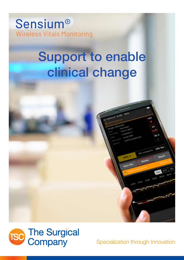## Sensium® Wireless Vitals Monitoring

# Support to enable clinical change



Specialization through Innovation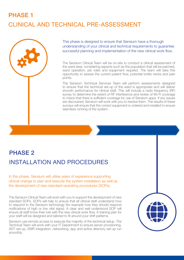#### PHASE 1 CLINICAL AND TECHNICAL PRE-ASSESSMENT



This phase is designed to ensure that Sensium have a thorough understanding of your clinical and technical requirements to guarantee successful planning and implementation of the new clinical work flow.

The Sensium Clinical Team will be on-site to conduct a clinical assessment of the ward area, considering aspects such as the population that will be patched, ward operation, job roles and equipment required. The team will take this opportunity to assess the current patient flow, potential bottle necks and pain points.

The Sensium Technical Services Team will perform assessments designed to ensure that the technical set-up of the ward is appropriate and will deliver smooth performance for clinical staff. This will include a radio frequency (RF) survey to determine the extent of RF interference and review of Wi-Fi coverage to check that there is sufficient coverage for use of Sensium apps. If any issues are discovered, Sensium will work with you to resolve them. The results of these surveys will ensure that the correct equipment is ordered and installed to ensure seamless running of the system.

### PHASE 2 INSTALLATION AND PROCEDURES

In this phase, Sensium will utilise years of experience supporting clinical change to plan and execute the system installation as well as the development of new standard operating procedures (SOPs).

The Sensium Clinical Team will work with you to support the development of new standard SOPs. SOPs will help to ensure that all clinical staff understand how to respond to the Sensium technology (for example how they should respond notifications of high or low vital signs). A clear and well understood SOP will ensure all staff know their role with the new clinical work flow. A training plan for your staff will be designed and tailored to fit around your shift patterns.

Sensium use remote access to execute the majority of the technical setup. The Technical Team will work with your IT Department to ensure server provisioning, ADT set-up, EMR integration, networking, app and active directory set-up run smoothly.

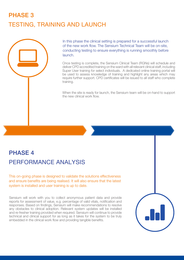#### PHASE 3 TESTING, TRAINING AND LAUNCH



In this phase the clinical setting is prepared for a successful launch of the new work flow. The Sensium Technical Team will be on-site, conducting testing to ensure everything is running smoothly before launch.

Once testing is complete, the Sensium Clinical Team (RGNs) will schedule and deliver CPD accredited training on the ward with all relevant clinical staff, including Super User training for select individuals. A dedicated online training portal will be used to assess knowledge of training and highlight any areas which may require further support. CPD certificates will be issued to all staff who complete training.

When the site is ready for launch, the Sensium team will be on-hand to support the new clinical work flow.

#### PHASE 4 PERFORMANCE ANALYSIS

This on-going phase is designed to validate the solutions effectiveness and ensure benefits are being realised. It will also ensure that the latest system is installed and user training is up to date.

Sensium will work with you to collect anonymous patient data and provide reports for assessment of value, e.g. percentage of valid vitals, notification and responses. Based on findings, Sensium will make recommendations to resolve any obstacles to clinical adoption. Relevant system updates will be installed and re-fresher training provided when required. Sensium will continue to provide technical and clinical support for as long as it takes for the system to be truly embedded in the clinical work flow and providing tangible benefits.